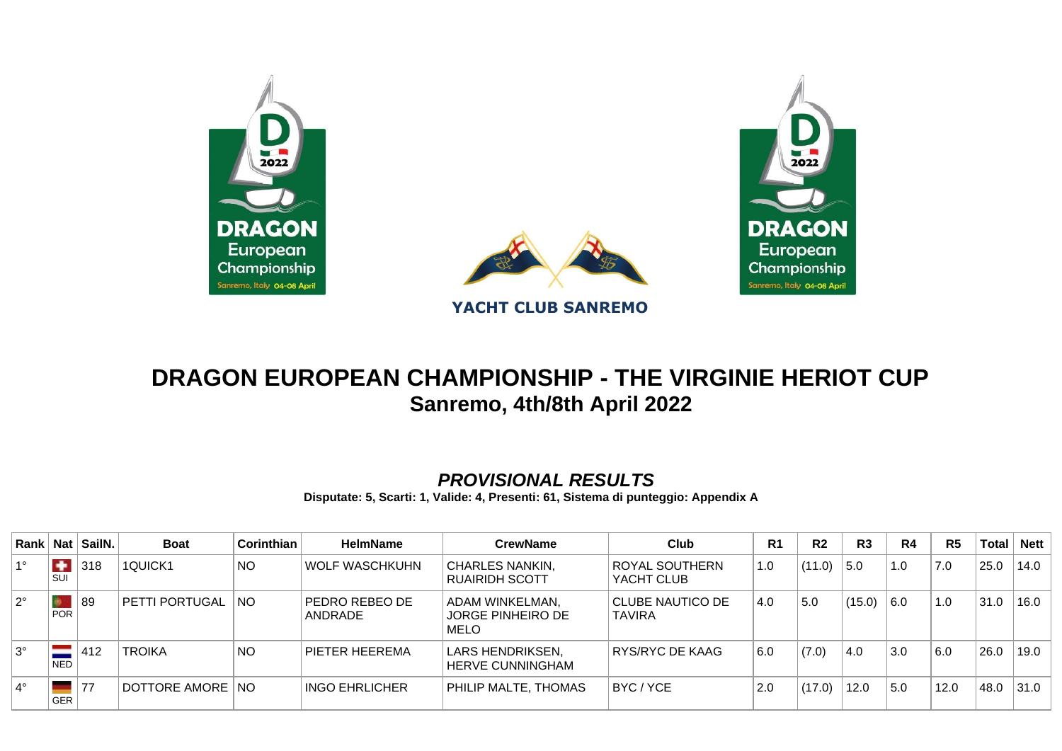



## **DRAGON EUROPEAN CHAMPIONSHIP - THE VIRGINIE HERIOT CUP Sanremo, 4th/8th April 2022**

## *PROVISIONAL RESULTS*

**Disputate: 5, Scarti: 1, Valide: 4, Presenti: 61, Sistema di punteggio: Appendix A**

| Rank        | Nat <sub>l</sub>            | SailN. | <b>Boat</b>       | Corinthian     | <b>HelmName</b>           | <b>CrewName</b>                                            | Club                              | R <sub>1</sub> | R <sub>2</sub> | R <sub>3</sub> | R <sub>4</sub> | R <sub>5</sub> | <b>Total</b> | <b>Nett</b> |
|-------------|-----------------------------|--------|-------------------|----------------|---------------------------|------------------------------------------------------------|-----------------------------------|----------------|----------------|----------------|----------------|----------------|--------------|-------------|
| $1^{\circ}$ | $\ddot{\phantom{1}}$<br>SUI | 318    | 1QUICK1           | NO             | WOLF WASCHKUHN            | CHARLES NANKIN.<br><b>RUAIRIDH SCOTT</b>                   | ROYAL SOUTHERN<br>YACHT CLUB      | 1.0            | (11.0)         | 5.0            | 1.0            | 7.0            | 25.0         | 14.0        |
| $2^{\circ}$ | <b>POR</b>                  | 89     | PETTI PORTUGAL    | $\overline{N}$ | PEDRO REBEO DE<br>ANDRADE | ADAM WINKELMAN,<br><b>JORGE PINHEIRO DE</b><br><b>MELO</b> | CLUBE NAUTICO DE<br><b>TAVIRA</b> | 4.0            | 5.0            | (15.0)         | 6.0            | 1.0            | 31.0         | 16.0        |
| $3^\circ$   | <b>NED</b>                  | 412    | <b>TROIKA</b>     | <b>NO</b>      | PIETER HEEREMA            | LARS HENDRIKSEN,<br>HERVE CUNNINGHAM                       | RYS/RYC DE KAAG                   | 6.0            | (7.0)          | 4.0            | 3.0            | 6.0            | 26.0         | 19.0        |
| $4^\circ$   | GER                         | 77     | DOTTORE AMORE INO |                | <b>INGO EHRLICHER</b>     | PHILIP MALTE, THOMAS                                       | BYC/YCE                           | 2.0            | (17.0)         | 12.0           | 5.0            | 12.0           | 48.0         | 31.0        |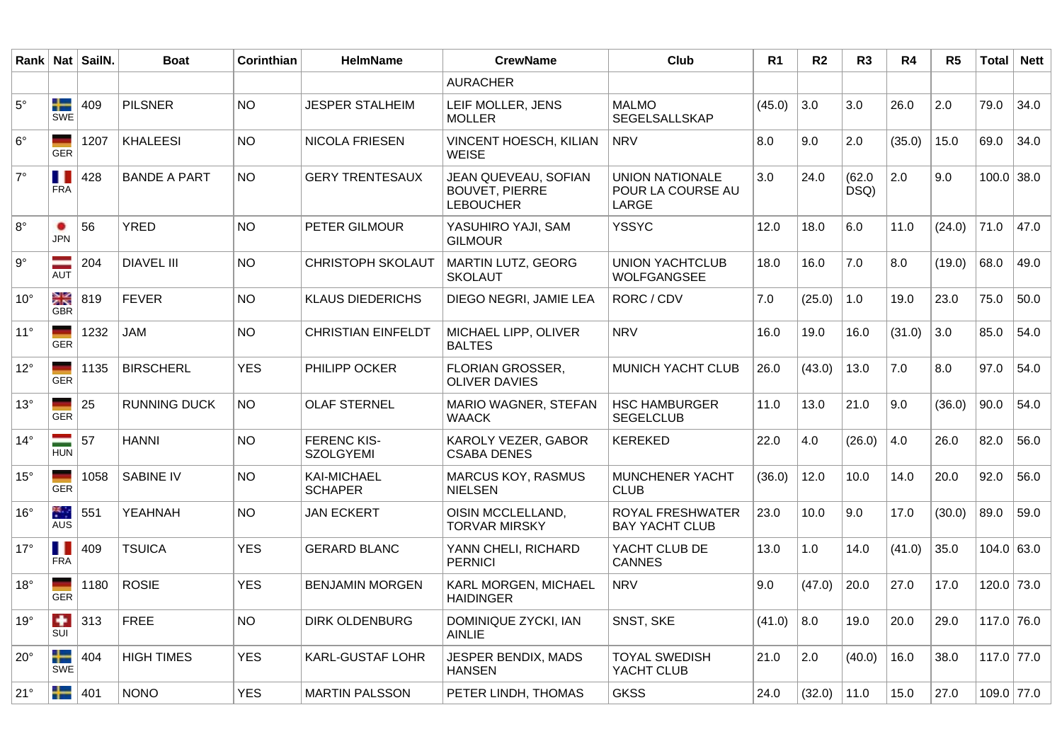|              |                             | Rank   Nat   SailN. | <b>Boat</b>         | Corinthian | <b>HelmName</b>                        | <b>CrewName</b>                                                   | Club                                          | R1     | R <sub>2</sub> | R3             | R4     | R <sub>5</sub> | <b>Total</b> | <b>Nett</b> |
|--------------|-----------------------------|---------------------|---------------------|------------|----------------------------------------|-------------------------------------------------------------------|-----------------------------------------------|--------|----------------|----------------|--------|----------------|--------------|-------------|
|              |                             |                     |                     |            |                                        | <b>AURACHER</b>                                                   |                                               |        |                |                |        |                |              |             |
| $5^{\circ}$  | ╄<br>SWE                    | 409                 | <b>PILSNER</b>      | NO.        | <b>JESPER STALHEIM</b>                 | LEIF MOLLER, JENS<br><b>MOLLER</b>                                | <b>MALMO</b><br>SEGELSALLSKAP                 | (45.0) | 3.0            | 3.0            | 26.0   | 2.0            | 79.0         | 34.0        |
| $6^{\circ}$  | <b>GER</b>                  | 1207                | <b>KHALEESI</b>     | <b>NO</b>  | NICOLA FRIESEN                         | VINCENT HOESCH, KILIAN<br>WEISE                                   | <b>NRV</b>                                    | 8.0    | 9.0            | 2.0            | (35.0) | 15.0           | 69.0         | 34.0        |
| $7^\circ$    | Ш<br><b>FRA</b>             | 428                 | <b>BANDE A PART</b> | <b>NO</b>  | <b>GERY TRENTESAUX</b>                 | JEAN QUEVEAU, SOFIAN<br><b>BOUVET, PIERRE</b><br><b>LEBOUCHER</b> | UNION NATIONALE<br>POUR LA COURSE AU<br>LARGE | 3.0    | 24.0           | (62.0)<br>DSQ) | 2.0    | 9.0            | $100.0$ 38.0 |             |
| $8^{\circ}$  | <b>JPN</b>                  | 56                  | YRED                | NO.        | PETER GILMOUR                          | YASUHIRO YAJI, SAM<br><b>GILMOUR</b>                              | <b>YSSYC</b>                                  | 12.0   | 18.0           | 6.0            | 11.0   | (24.0)         | 71.0         | 47.0        |
| $9^{\circ}$  | <b>AUT</b>                  | 204                 | <b>DIAVEL III</b>   | <b>NO</b>  | <b>CHRISTOPH SKOLAUT</b>               | MARTIN LUTZ, GEORG<br><b>SKOLAUT</b>                              | <b>UNION YACHTCLUB</b><br>WOLFGANGSEE         | 18.0   | 16.0           | 7.0            | 8.0    | (19.0)         | 68.0         | 49.0        |
| $10^{\circ}$ | ≳κ<br><b>GBR</b>            | 819                 | <b>FEVER</b>        | NO.        | <b>KLAUS DIEDERICHS</b>                | DIEGO NEGRI, JAMIE LEA                                            | RORC / CDV                                    | 7.0    | (25.0)         | 1.0            | 19.0   | 23.0           | 75.0         | 50.0        |
| $11^{\circ}$ | <b>GER</b>                  | 1232                | <b>JAM</b>          | NO.        | <b>CHRISTIAN EINFELDT</b>              | MICHAEL LIPP, OLIVER<br><b>BALTES</b>                             | <b>NRV</b>                                    | 16.0   | 19.0           | 16.0           | (31.0) | 3.0            | 85.0         | 54.0        |
| $12^{\circ}$ | <b>GER</b>                  | 1135                | <b>BIRSCHERL</b>    | <b>YES</b> | PHILIPP OCKER                          | FLORIAN GROSSER,<br><b>OLIVER DAVIES</b>                          | MUNICH YACHT CLUB                             | 26.0   | (43.0)         | 13.0           | 7.0    | 8.0            | 97.0         | 54.0        |
| $13^\circ$   | <b>GER</b>                  | 25                  | <b>RUNNING DUCK</b> | NO.        | <b>OLAF STERNEL</b>                    | <b>MARIO WAGNER, STEFAN</b><br><b>WAACK</b>                       | <b>HSC HAMBURGER</b><br><b>SEGELCLUB</b>      | 11.0   | 13.0           | 21.0           | 9.0    | (36.0)         | 90.0         | 54.0        |
| $14^{\circ}$ | <b>HUN</b>                  | 57                  | <b>HANNI</b>        | <b>NO</b>  | <b>FERENC KIS-</b><br><b>SZOLGYEMI</b> | KAROLY VEZER, GABOR<br><b>CSABA DENES</b>                         | KEREKED                                       | 22.0   | 4.0            | (26.0)         | 4.0    | 26.0           | 82.0         | 56.0        |
| $15^{\circ}$ | GER                         | 1058                | <b>SABINE IV</b>    | NO.        | <b>KAI-MICHAEL</b><br><b>SCHAPER</b>   | <b>MARCUS KOY, RASMUS</b><br><b>NIELSEN</b>                       | <b>MUNCHENER YACHT</b><br><b>CLUB</b>         | (36.0) | 12.0           | 10.0           | 14.0   | 20.0           | 92.0         | 56.0        |
| $16^{\circ}$ | ЖJ.<br>AUS                  | 551                 | YEAHNAH             | <b>NO</b>  | <b>JAN ECKERT</b>                      | OISIN MCCLELLAND,<br><b>TORVAR MIRSKY</b>                         | ROYAL FRESHWATER<br><b>BAY YACHT CLUB</b>     | 23.0   | 10.0           | 9.0            | 17.0   | (30.0)         | 89.0         | 59.0        |
| $17^\circ$   | Ш<br><b>FRA</b>             | 409                 | <b>TSUICA</b>       | <b>YES</b> | <b>GERARD BLANC</b>                    | YANN CHELI, RICHARD<br><b>PERNICI</b>                             | YACHT CLUB DE<br><b>CANNES</b>                | 13.0   | 1.0            | 14.0           | (41.0) | 35.0           | 104.0 63.0   |             |
| $18^{\circ}$ | <b>GER</b>                  | 1180                | <b>ROSIE</b>        | <b>YES</b> | <b>BENJAMIN MORGEN</b>                 | KARL MORGEN, MICHAEL<br><b>HAIDINGER</b>                          | NRV                                           | 9.0    | (47.0)         | 20.0           | 27.0   | 17.0           | $120.0$ 73.0 |             |
| 19°          | $\ddot{\phantom{1}}$<br>SUI | 313                 | <b>FREE</b>         | NO.        | <b>DIRK OLDENBURG</b>                  | DOMINIQUE ZYCKI, IAN<br><b>AINLIE</b>                             | SNST, SKE                                     | (41.0) | 8.0            | 19.0           | 20.0   | 29.0           | $117.0$ 76.0 |             |
| $20^{\circ}$ | ╇<br><b>SWE</b>             | 404                 | <b>HIGH TIMES</b>   | YES.       | <b>KARL-GUSTAF LOHR</b>                | JESPER BENDIX, MADS<br><b>HANSEN</b>                              | TOYAL SWEDISH<br>YACHT CLUB                   | 21.0   | 2.0            | (40.0)         | 16.0   | 38.0           | $117.0$ 77.0 |             |
| $21^{\circ}$ | ╇                           | 401                 | <b>NONO</b>         | <b>YES</b> | <b>MARTIN PALSSON</b>                  | PETER LINDH, THOMAS                                               | <b>GKSS</b>                                   | 24.0   | (32.0)         | 11.0           | 15.0   | 27.0           | $109.0$ 77.0 |             |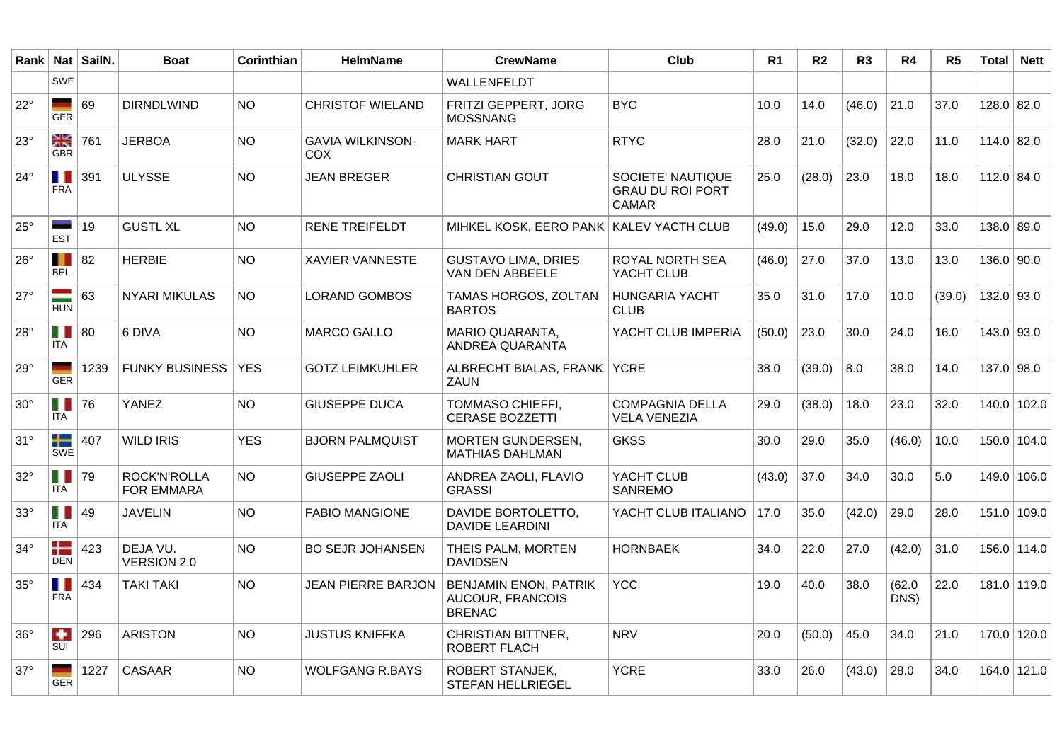|              |                   | Rank   Nat   SailN. | <b>Boat</b>                              | Corinthian | <b>HelmName</b>                | <b>CrewName</b>                                                   | Club                                                         | R <sub>1</sub> | R2     | R <sub>3</sub> | R4             | R <sub>5</sub> | <b>Total</b> | <b>Nett</b> |
|--------------|-------------------|---------------------|------------------------------------------|------------|--------------------------------|-------------------------------------------------------------------|--------------------------------------------------------------|----------------|--------|----------------|----------------|----------------|--------------|-------------|
|              | SWE               |                     |                                          |            |                                | WALLENFELDT                                                       |                                                              |                |        |                |                |                |              |             |
| $22^{\circ}$ | <b>GER</b>        | 69                  | <b>DIRNDLWIND</b>                        | <b>NO</b>  | <b>CHRISTOF WIELAND</b>        | FRITZI GEPPERT, JORG<br>MOSSNANG                                  | <b>BYC</b>                                                   | 10.0           | 14.0   | (46.0)         | 21.0           | 37.0           | $128.0$ 82.0 |             |
| $23^\circ$   | ≳κ<br><b>GBR</b>  | 761                 | <b>JERBOA</b>                            | <b>NO</b>  | <b>GAVIA WILKINSON-</b><br>COX | <b>MARK HART</b>                                                  | <b>RTYC</b>                                                  | 28.0           | 21.0   | (32.0)         | 22.0           | 11.0           | 114.0 82.0   |             |
| $24^{\circ}$ | ш<br><b>FRA</b>   | 391                 | <b>ULYSSE</b>                            | <b>NO</b>  | <b>JEAN BREGER</b>             | <b>CHRISTIAN GOUT</b>                                             | SOCIETE' NAUTIQUE<br><b>GRAU DU ROI PORT</b><br><b>CAMAR</b> | 25.0           | (28.0) | 23.0           | 18.0           | 18.0           | 112.0 84.0   |             |
| $25^{\circ}$ | <b>EST</b>        | 19                  | <b>GUSTL XL</b>                          | <b>NO</b>  | <b>RENE TREIFELDT</b>          | MIHKEL KOSK, EERO PANK KALEV YACTH CLUB                           |                                                              | (49.0)         | 15.0   | 29.0           | 12.0           | 33.0           | 138.0 89.0   |             |
| $26^{\circ}$ | H<br><b>BEL</b>   | 82                  | <b>HERBIE</b>                            | <b>NO</b>  | <b>XAVIER VANNESTE</b>         | <b>GUSTAVO LIMA, DRIES</b><br>VAN DEN ABBEELE                     | ROYAL NORTH SEA<br>YACHT CLUB                                | (46.0)         | 27.0   | 37.0           | 13.0           | 13.0           | 136.0   90.0 |             |
| $27^\circ$   | <b>HUN</b>        | 63                  | <b>NYARI MIKULAS</b>                     | <b>NO</b>  | <b>LORAND GOMBOS</b>           | TAMAS HORGOS, ZOLTAN<br><b>BARTOS</b>                             | <b>HUNGARIA YACHT</b><br><b>CLUB</b>                         | 35.0           | 31.0   | 17.0           | 10.0           | (39.0)         | $132.0$ 93.0 |             |
| $28^\circ$   | H I<br><b>ITA</b> | 80                  | 6 DIVA                                   | <b>NO</b>  | <b>MARCO GALLO</b>             | MARIO QUARANTA,<br>ANDREA QUARANTA                                | YACHT CLUB IMPERIA                                           | (50.0)         | 23.0   | 30.0           | 24.0           | 16.0           | $143.0$ 93.0 |             |
| $29^{\circ}$ | <b>GER</b>        | 1239                | <b>FUNKY BUSINESS</b>                    | <b>YES</b> | <b>GOTZ LEIMKUHLER</b>         | ALBRECHT BIALAS, FRANK YCRE<br>ZAUN                               |                                                              | 38.0           | (39.0) | 8.0            | 38.0           | 14.0           | $137.0$ 98.0 |             |
| $30^\circ$   | H<br><b>ITA</b>   | 76                  | YANEZ                                    | <b>NO</b>  | <b>GIUSEPPE DUCA</b>           | <b>TOMMASO CHIEFFI,</b><br><b>CERASE BOZZETTI</b>                 | <b>COMPAGNIA DELLA</b><br><b>VELA VENEZIA</b>                | 29.0           | (38.0) | 18.0           | 23.0           | 32.0           |              | 140.0 102.0 |
| $31^\circ$   | ╄<br>SWE          | 407                 | <b>WILD IRIS</b>                         | <b>YES</b> | <b>BJORN PALMQUIST</b>         | MORTEN GUNDERSEN,<br>MATHIAS DAHLMAN                              | <b>GKSS</b>                                                  | 30.0           | 29.0   | 35.0           | (46.0)         | 10.0           | 150.0 104.0  |             |
| $32^\circ$   | H I<br><b>ITA</b> | 79                  | <b>ROCK'N'ROLLA</b><br><b>FOR EMMARA</b> | NO.        | <b>GIUSEPPE ZAOLI</b>          | ANDREA ZAOLI, FLAVIO<br><b>GRASSI</b>                             | YACHT CLUB<br><b>SANREMO</b>                                 | (43.0)         | 37.0   | 34.0           | 30.0           | 5.0            |              | 149.0 106.0 |
| $33^\circ$   | Ш<br><b>ITA</b>   | 49                  | <b>JAVELIN</b>                           | <b>NO</b>  | <b>FABIO MANGIONE</b>          | DAVIDE BORTOLETTO,<br>DAVIDE LEARDINI                             | YACHT CLUB ITALIANO                                          | 17.0           | 35.0   | (42.0)         | 29.0           | 28.0           |              | 151.0 109.0 |
| $34^\circ$   | ╄<br><b>DEN</b>   | 423                 | DEJA VU.<br><b>VERSION 2.0</b>           | <b>NO</b>  | <b>BO SEJR JOHANSEN</b>        | THEIS PALM, MORTEN<br><b>DAVIDSEN</b>                             | <b>HORNBAEK</b>                                              | 34.0           | 22.0   | 27.0           | (42.0)         | 31.0           |              | 156.0 114.0 |
| $35^\circ$   | H<br><b>FRA</b>   | 434                 | <b>TAKI TAKI</b>                         | <b>NO</b>  | <b>JEAN PIERRE BARJON</b>      | <b>BENJAMIN ENON, PATRIK</b><br>AUCOUR, FRANCOIS<br><b>BRENAC</b> | <b>YCC</b>                                                   | 19.0           | 40.0   | 38.0           | (62.0)<br>DNS) | 22.0           |              | 181.0 119.0 |
| $36^{\circ}$ | ٠<br>SUI          | 296                 | <b>ARISTON</b>                           | <b>NO</b>  | <b>JUSTUS KNIFFKA</b>          | <b>CHRISTIAN BITTNER,</b><br>ROBERT FLACH                         | <b>NRV</b>                                                   | 20.0           | (50.0) | 45.0           | 34.0           | 21.0           | 170.0 120.0  |             |
| $37^\circ$   | <b>GER</b>        | 1227                | <b>CASAAR</b>                            | <b>NO</b>  | <b>WOLFGANG R.BAYS</b>         | ROBERT STANJEK,<br>STEFAN HELLRIEGEL                              | <b>YCRE</b>                                                  | 33.0           | 26.0   | (43.0)         | 28.0           | 34.0           |              | 164.0 121.0 |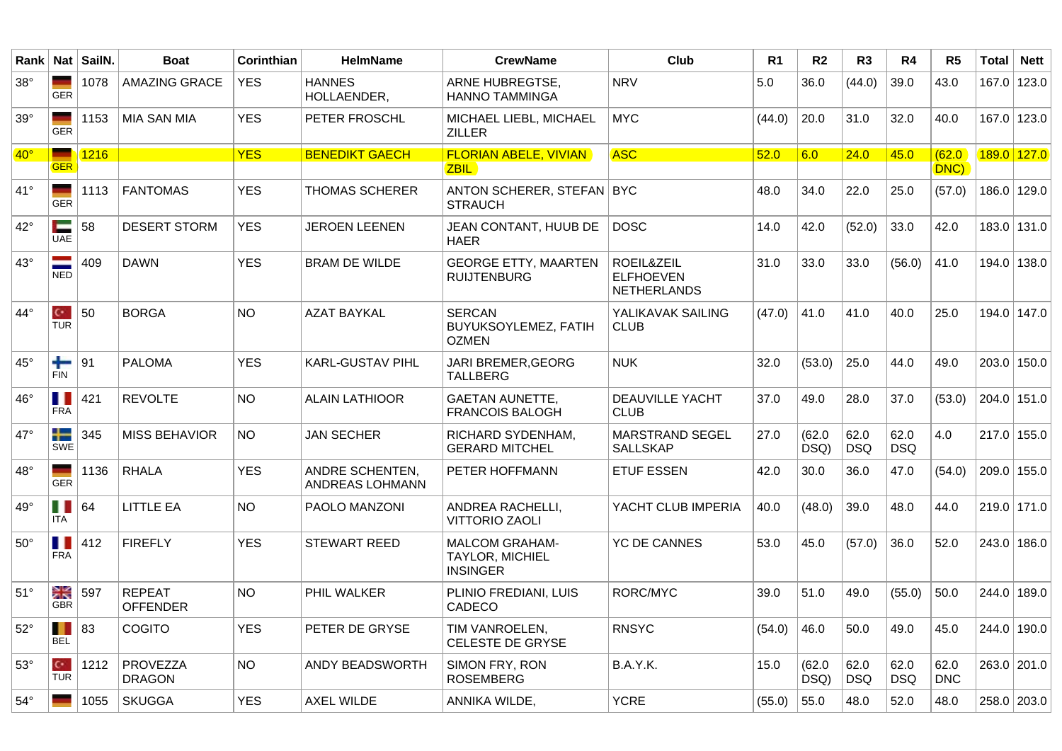| Rank         | <b>Nat</b>                         | SailN       | <b>Boat</b>                      | Corinthian | <b>HelmName</b>                    | <b>CrewName</b>                                                    | Club                                                 | R <sub>1</sub> | R <sub>2</sub> | R <sub>3</sub>     | R4                 | R <sub>5</sub>     | <b>Total</b> | <b>Nett</b>   |
|--------------|------------------------------------|-------------|----------------------------------|------------|------------------------------------|--------------------------------------------------------------------|------------------------------------------------------|----------------|----------------|--------------------|--------------------|--------------------|--------------|---------------|
| $38^\circ$   | <b>GER</b>                         | 1078        | <b>AMAZING GRACE</b>             | <b>YES</b> | <b>HANNES</b><br>HOLLAENDER,       | ARNE HUBREGTSE,<br><b>HANNO TAMMINGA</b>                           | <b>NRV</b>                                           | 5.0            | 36.0           | (44.0)             | 39.0               | 43.0               |              | 167.0 123.0   |
| $39^\circ$   | <b>GER</b>                         | 1153        | <b>MIA SAN MIA</b>               | <b>YES</b> | PETER FROSCHL                      | MICHAEL LIEBL, MICHAEL<br><b>ZILLER</b>                            | <b>MYC</b>                                           | (44.0)         | 20.0           | 31.0               | 32.0               | 40.0               |              | $167.0$ 123.0 |
| $40^{\circ}$ |                                    | <b>1216</b> |                                  | <b>YES</b> | <b>BENEDIKT GAECH</b>              | <b>FLORIAN ABELE, VIVIAN</b>                                       | <b>ASC</b>                                           | 52.0           | 6.0            | 24.0               | 45.0               | (62.0)             |              | 189.0 127.0   |
|              | <b>GER</b>                         |             |                                  |            |                                    | <b>ZBIL</b>                                                        |                                                      |                |                |                    |                    | DNC)               |              |               |
| $41^{\circ}$ | <b>GER</b>                         | 1113        | <b>FANTOMAS</b>                  | <b>YES</b> | <b>THOMAS SCHERER</b>              | ANTON SCHERER, STEFAN   BYC<br><b>STRAUCH</b>                      |                                                      | 48.0           | 34.0           | 22.0               | 25.0               | (57.0)             |              | 186.0   129.0 |
| $42^{\circ}$ | -<br><b>UAE</b>                    | 58          | <b>DESERT STORM</b>              | <b>YES</b> | <b>JEROEN LEENEN</b>               | JEAN CONTANT, HUUB DE<br><b>HAER</b>                               | <b>DOSC</b>                                          | 14.0           | 42.0           | (52.0)             | 33.0               | 42.0               |              | 183.0 131.0   |
| $43^\circ$   | <b>NED</b>                         | 409         | <b>DAWN</b>                      | <b>YES</b> | <b>BRAM DE WILDE</b>               | <b>GEORGE ETTY, MAARTEN</b><br><b>RUIJTENBURG</b>                  | ROEIL&ZEIL<br><b>ELFHOEVEN</b><br><b>NETHERLANDS</b> | 31.0           | 33.0           | 33.0               | (56.0)             | 41.0               |              | 194.0 138.0   |
| $44^{\circ}$ | $\mathbf{C}^{\star}$<br><b>TUR</b> | 50          | <b>BORGA</b>                     | <b>NO</b>  | <b>AZAT BAYKAL</b>                 | <b>SERCAN</b><br>BUYUKSOYLEMEZ, FATIH<br><b>OZMEN</b>              | YALIKAVAK SAILING<br><b>CLUB</b>                     | (47.0)         | 41.0           | 41.0               | 40.0               | 25.0               |              | 194.0 147.0   |
| $45^{\circ}$ | ╇<br><b>FIN</b>                    | 91          | <b>PALOMA</b>                    | <b>YES</b> | KARL-GUSTAV PIHL                   | JARI BREMER, GEORG<br><b>TALLBERG</b>                              | <b>NUK</b>                                           | 32.0           | (53.0)         | 25.0               | 44.0               | 49.0               |              | $203.0$ 150.0 |
| $46^{\circ}$ | ш<br><b>FRA</b>                    | 421         | <b>REVOLTE</b>                   | <b>NO</b>  | <b>ALAIN LATHIOOR</b>              | <b>GAETAN AUNETTE,</b><br><b>FRANCOIS BALOGH</b>                   | <b>DEAUVILLE YACHT</b><br><b>CLUB</b>                | 37.0           | 49.0           | 28.0               | 37.0               | (53.0)             |              | $204.0$ 151.0 |
| $47^\circ$   | ╄<br><b>SWE</b>                    | 345         | <b>MISS BEHAVIOR</b>             | <b>NO</b>  | <b>JAN SECHER</b>                  | RICHARD SYDENHAM,<br><b>GERARD MITCHEL</b>                         | MARSTRAND SEGEL<br><b>SALLSKAP</b>                   | 27.0           | (62.0)<br>DSQ) | 62.0<br><b>DSQ</b> | 62.0<br><b>DSQ</b> | 4.0                |              | $217.0$ 155.0 |
| $48^\circ$   | <b>GER</b>                         | 1136        | <b>RHALA</b>                     | <b>YES</b> | ANDRE SCHENTEN,<br>ANDREAS LOHMANN | PETER HOFFMANN                                                     | <b>ETUF ESSEN</b>                                    | 42.0           | 30.0           | 36.0               | 47.0               | (54.0)             |              | $209.0$ 155.0 |
| $49^{\circ}$ | Ш<br>ITA.                          | 64          | <b>LITTLE EA</b>                 | <b>NO</b>  | PAOLO MANZONI                      | ANDREA RACHELLI,<br><b>VITTORIO ZAOLI</b>                          | YACHT CLUB IMPERIA                                   | 40.0           | (48.0)         | 39.0               | 48.0               | 44.0               |              | $219.0$ 171.0 |
| $50^\circ$   | . .<br><b>FRA</b>                  | 412         | <b>FIREFLY</b>                   | <b>YES</b> | <b>STEWART REED</b>                | <b>MALCOM GRAHAM-</b><br><b>TAYLOR, MICHIEL</b><br><b>INSINGER</b> | <b>YC DE CANNES</b>                                  | 53.0           | 45.0           | (57.0)             | 36.0               | 52.0               |              | $243.0$ 186.0 |
| $51^\circ$   | ≳k<br><b>GBR</b>                   | 597         | <b>REPEAT</b><br><b>OFFENDER</b> | <b>NO</b>  | PHIL WALKER                        | PLINIO FREDIANI, LUIS<br>CADECO                                    | RORC/MYC                                             | 39.0           | 51.0           | 49.0               | (55.0)             | 50.0               |              | 244.0 189.0   |
| $52^\circ$   | . .<br><b>BEL</b>                  | 83          | COGITO                           | <b>YES</b> | PETER DE GRYSE                     | TIM VANROELEN,<br>CELESTE DE GRYSE                                 | <b>RNSYC</b>                                         | (54.0)         | 46.0           | 50.0               | 49.0               | 45.0               |              | 244.0 190.0   |
| $53^\circ$   | $\mathbf{C}^{\star}$<br><b>TUR</b> | 1212        | PROVEZZA<br><b>DRAGON</b>        | <b>NO</b>  | ANDY BEADSWORTH                    | SIMON FRY, RON<br><b>ROSEMBERG</b>                                 | B.A.Y.K.                                             | 15.0           | (62.0)<br>DSQ) | 62.0<br><b>DSQ</b> | 62.0<br><b>DSQ</b> | 62.0<br><b>DNC</b> |              | 263.0 201.0   |
| $54^\circ$   |                                    | 1055        | <b>SKUGGA</b>                    | <b>YES</b> | AXEL WILDE                         | ANNIKA WILDE,                                                      | <b>YCRE</b>                                          | (55.0)         | 55.0           | 48.0               | 52.0               | 48.0               |              | 258.0 203.0   |